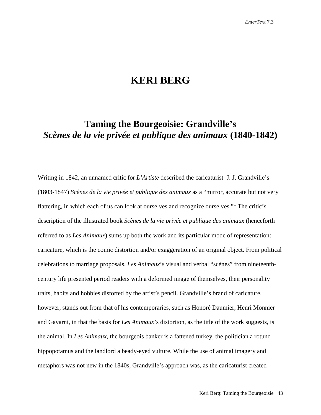# **KERI BERG**

# **Taming the Bourgeoisie: Grandville's**  *Scènes de la vie privée et publique des animaux* **(1840-1842)**

Writing in 1842, an unnamed critic for *L'Artiste* described the caricaturist J. J. Grandville's (1803-1847) *Scènes de la vie privée et publique des animaux* as a "mirror, accurate but not very flattering, in which each of us can look at ourselves and recognize ourselves."[1](#page-25-0) The critic's description of the illustrated book *Scènes de la vie privée et publique des animaux* (henceforth referred to as *Les Animaux*) sums up both the work and its particular mode of representation: caricature, which is the comic distortion and/or exaggeration of an original object. From political celebrations to marriage proposals, *Les Animaux*'s visual and verbal "scènes" from nineteenthcentury life presented period readers with a deformed image of themselves, their personality traits, habits and hobbies distorted by the artist's pencil. Grandville's brand of caricature, however, stands out from that of his contemporaries, such as Honoré Daumier, Henri Monnier and Gavarni, in that the basis for *Les Animaux*'s distortion, as the title of the work suggests, is the animal. In *Les Animaux*, the bourgeois banker is a fattened turkey, the politician a rotund hippopotamus and the landlord a beady-eyed vulture. While the use of animal imagery and metaphors was not new in the 1840s, Grandville's approach was, as the caricaturist created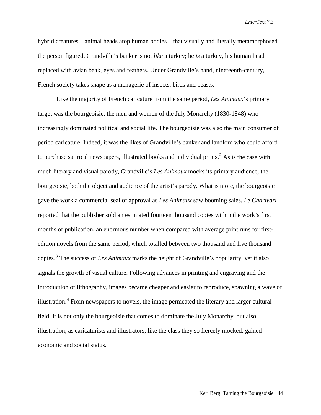hybrid creatures—animal heads atop human bodies—that visually and literally metamorphosed the person figured. Grandville's banker is not *like* a turkey; he *is* a turkey, his human head replaced with avian beak, eyes and feathers. Under Grandville's hand, nineteenth-century, French society takes shape as a menagerie of insects, birds and beasts.

Like the majority of French caricature from the same period, *Les Animaux*'s primary target was the bourgeoisie, the men and women of the July Monarchy (1830-1848) who increasingly dominated political and social life. The bourgeoisie was also the main consumer of period caricature. Indeed, it was the likes of Grandville's banker and landlord who could afford to purchase satirical newspapers, illustrated books and individual prints.<sup>[2](#page-26-0)</sup> As is the case with much literary and visual parody, Grandville's *Les Animaux* mocks its primary audience, the bourgeoisie, both the object and audience of the artist's parody. What is more, the bourgeoisie gave the work a commercial seal of approval as *Les Animaux* saw booming sales. *Le Charivari*  reported that the publisher sold an estimated fourteen thousand copies within the work's first months of publication, an enormous number when compared with average print runs for firstedition novels from the same period, which totalled between two thousand and five thousand copies. [3](#page-26-1) The success of *Les Animaux* marks the height of Grandville's popularity, yet it also signals the growth of visual culture. Following advances in printing and engraving and the introduction of lithography, images became cheaper and easier to reproduce, spawning a wave of illustration.<sup>[4](#page-26-2)</sup> From newspapers to novels, the image permeated the literary and larger cultural field. It is not only the bourgeoisie that comes to dominate the July Monarchy, but also illustration, as caricaturists and illustrators, like the class they so fiercely mocked, gained economic and social status.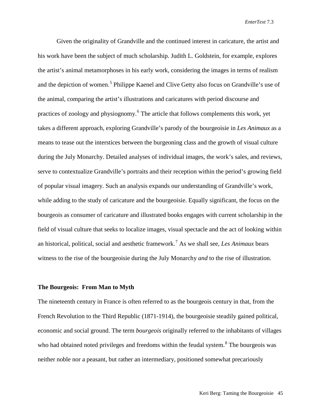Given the originality of Grandville and the continued interest in caricature, the artist and his work have been the subject of much scholarship. Judith L. Goldstein, for example, explores the artist's animal metamorphoses in his early work, considering the images in terms of realism and the depiction of women.<sup>[5](#page-26-3)</sup> Philippe Kaenel and Clive Getty also focus on Grandville's use of the animal, comparing the artist's illustrations and caricatures with period discourse and practices of zoology and physiognomy.<sup>[6](#page-26-4)</sup> The article that follows complements this work, yet takes a different approach, exploring Grandville's parody of the bourgeoisie in *Les Animaux* as a means to tease out the interstices between the burgeoning class and the growth of visual culture during the July Monarchy. Detailed analyses of individual images, the work's sales, and reviews, serve to contextualize Grandville's portraits and their reception within the period's growing field of popular visual imagery. Such an analysis expands our understanding of Grandville's work, while adding to the study of caricature and the bourgeoisie. Equally significant, the focus on the bourgeois as consumer of caricature and illustrated books engages with current scholarship in the field of visual culture that seeks to localize images, visual spectacle and the act of looking within an historical, political, social and aesthetic framework. [7](#page-26-5) As we shall see, *Les Animaux* bears witness to the rise of the bourgeoisie during the July Monarchy *and* to the rise of illustration.

### **The Bourgeois: From Man to Myth**

The nineteenth century in France is often referred to as the bourgeois century in that, from the French Revolution to the Third Republic (1871-1914), the bourgeoisie steadily gained political, economic and social ground. The term *bourgeois* originally referred to the inhabitants of villages who had obtained noted privileges and freedoms within the feudal system.<sup>[8](#page-26-6)</sup> The bourgeois was neither noble nor a peasant, but rather an intermediary, positioned somewhat precariously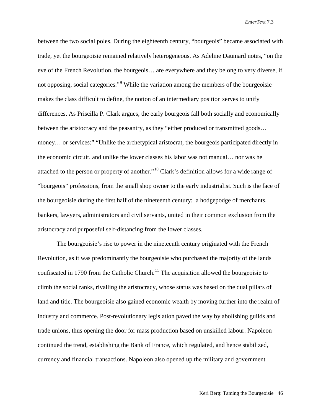between the two social poles. During the eighteenth century, "bourgeois" became associated with trade, yet the bourgeoisie remained relatively heterogeneous. As Adeline Daumard notes, "on the eve of the French Revolution, the bourgeois… are everywhere and they belong to very diverse, if not opposing, social categories."<sup>[9](#page-26-7)</sup> While the variation among the members of the bourgeoisie makes the class difficult to define, the notion of an intermediary position serves to unify differences. As Priscilla P. Clark argues, the early bourgeois fall both socially and economically between the aristocracy and the peasantry, as they "either produced or transmitted goods… money… or services:" "Unlike the archetypical aristocrat, the bourgeois participated directly in the economic circuit, and unlike the lower classes his labor was not manual… nor was he attached to the person or property of another."[10](#page-26-8) Clark's definition allows for a wide range of "bourgeois" professions, from the small shop owner to the early industrialist. Such is the face of the bourgeoisie during the first half of the nineteenth century: a hodgepodge of merchants, bankers, lawyers, administrators and civil servants, united in their common exclusion from the aristocracy and purposeful self-distancing from the lower classes.

The bourgeoisie's rise to power in the nineteenth century originated with the French Revolution, as it was predominantly the bourgeoisie who purchased the majority of the lands confiscated in 1790 from the Catholic Church.<sup>[11](#page-26-9)</sup> The acquisition allowed the bourgeoisie to climb the social ranks, rivalling the aristocracy, whose status was based on the dual pillars of land and title. The bourgeoisie also gained economic wealth by moving further into the realm of industry and commerce. Post-revolutionary legislation paved the way by abolishing guilds and trade unions, thus opening the door for mass production based on unskilled labour. Napoleon continued the trend, establishing the Bank of France, which regulated, and hence stabilized, currency and financial transactions. Napoleon also opened up the military and government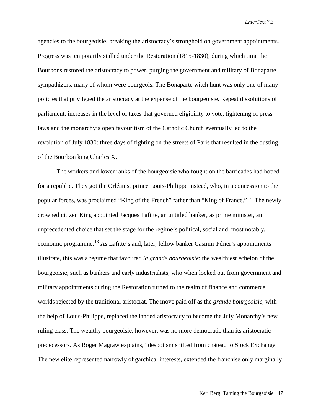agencies to the bourgeoisie, breaking the aristocracy's stronghold on government appointments. Progress was temporarily stalled under the Restoration (1815-1830), during which time the Bourbons restored the aristocracy to power, purging the government and military of Bonaparte sympathizers, many of whom were bourgeois. The Bonaparte witch hunt was only one of many policies that privileged the aristocracy at the expense of the bourgeoisie. Repeat dissolutions of parliament, increases in the level of taxes that governed eligibility to vote, tightening of press laws and the monarchy's open favouritism of the Catholic Church eventually led to the revolution of July 1830: three days of fighting on the streets of Paris that resulted in the ousting of the Bourbon king Charles X.

The workers and lower ranks of the bourgeoisie who fought on the barricades had hoped for a republic. They got the Orléanist prince Louis-Philippe instead, who, in a concession to the popular forces, was proclaimed "King of the French" rather than "King of France."<sup>[12](#page-26-10)</sup> The newly crowned citizen King appointed Jacques Lafitte, an untitled banker, as prime minister, an unprecedented choice that set the stage for the regime's political, social and, most notably, economic programme.<sup>[13](#page-26-11)</sup> As Lafitte's and, later, fellow banker Casimir Périer's appointments illustrate, this was a regime that favoured *la grande bourgeoisie*: the wealthiest echelon of the bourgeoisie, such as bankers and early industrialists, who when locked out from government and military appointments during the Restoration turned to the realm of finance and commerce, worlds rejected by the traditional aristocrat. The move paid off as the *grande bourgeoisie*, with the help of Louis-Philippe, replaced the landed aristocracy to become the July Monarchy's new ruling class. The wealthy bourgeoisie, however, was no more democratic than its aristocratic predecessors. As Roger Magraw explains, "despotism shifted from château to Stock Exchange. The new elite represented narrowly oligarchical interests, extended the franchise only marginally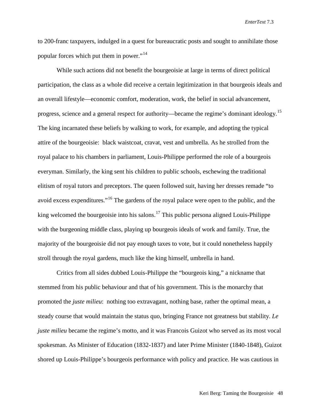to 200-franc taxpayers, indulged in a quest for bureaucratic posts and sought to annihilate those popular forces which put them in power."[14](#page-26-12)

While such actions did not benefit the bourgeoisie at large in terms of direct political participation, the class as a whole did receive a certain legitimization in that bourgeois ideals and an overall lifestyle—economic comfort, moderation, work, the belief in social advancement, progress, science and a general respect for authority—became the regime's dominant ideology.<sup>[15](#page-26-13)</sup> The king incarnated these beliefs by walking to work, for example, and adopting the typical attire of the bourgeoisie: black waistcoat, cravat, vest and umbrella. As he strolled from the royal palace to his chambers in parliament, Louis-Philippe performed the role of a bourgeois everyman. Similarly, the king sent his children to public schools, eschewing the traditional elitism of royal tutors and preceptors. The queen followed suit, having her dresses remade "to avoid excess expenditures."[16](#page-26-14) The gardens of the royal palace were open to the public, and the king welcomed the bourgeoisie into his salons.<sup>[17](#page-26-15)</sup> This public persona aligned Louis-Philippe with the burgeoning middle class, playing up bourgeois ideals of work and family. True, the majority of the bourgeoisie did not pay enough taxes to vote, but it could nonetheless happily stroll through the royal gardens, much like the king himself, umbrella in hand.

Critics from all sides dubbed Louis-Philippe the "bourgeois king," a nickname that stemmed from his public behaviour and that of his government. This is the monarchy that promoted the *juste milieu*: nothing too extravagant, nothing base, rather the optimal mean, a steady course that would maintain the status quo, bringing France not greatness but stability. *Le juste milieu* became the regime's motto, and it was Francois Guizot who served as its most vocal spokesman. As Minister of Education (1832-1837) and later Prime Minister (1840-1848), Guizot shored up Louis-Philippe's bourgeois performance with policy and practice. He was cautious in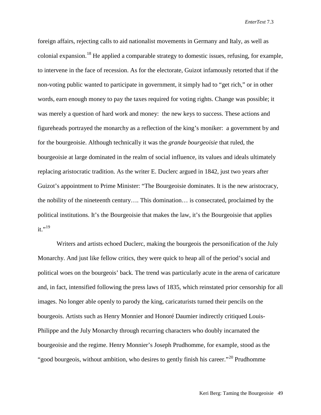foreign affairs, rejecting calls to aid nationalist movements in Germany and Italy, as well as colonial expansion.<sup>[18](#page-26-16)</sup> He applied a comparable strategy to domestic issues, refusing, for example, to intervene in the face of recession. As for the electorate, Guizot infamously retorted that if the non-voting public wanted to participate in government, it simply had to "get rich," or in other words, earn enough money to pay the taxes required for voting rights. Change was possible; it was merely a question of hard work and money: the new keys to success. These actions and figureheads portrayed the monarchy as a reflection of the king's moniker: a government by and for the bourgeoisie. Although technically it was the *grande bourgeoisie* that ruled, the bourgeoisie at large dominated in the realm of social influence, its values and ideals ultimately replacing aristocratic tradition. As the writer E. Duclerc argued in 1842, just two years after Guizot's appointment to Prime Minister: "The Bourgeoisie dominates. It is the new aristocracy, the nobility of the nineteenth century…. This domination… is consecrated, proclaimed by the political institutions. It's the Bourgeoisie that makes the law, it's the Bourgeoisie that applies  $it.$ "<sup>19</sup>

Writers and artists echoed Duclerc, making the bourgeois the personification of the July Monarchy. And just like fellow critics, they were quick to heap all of the period's social and political woes on the bourgeois' back. The trend was particularly acute in the arena of caricature and, in fact, intensified following the press laws of 1835, which reinstated prior censorship for all images. No longer able openly to parody the king, caricaturists turned their pencils on the bourgeois. Artists such as Henry Monnier and Honoré Daumier indirectly critiqued Louis-Philippe and the July Monarchy through recurring characters who doubly incarnated the bourgeoisie and the regime. Henry Monnier's Joseph Prudhomme, for example, stood as the "good bourgeois, without ambition, who desires to gently finish his career."<sup>[20](#page-26-18)</sup> Prudhomme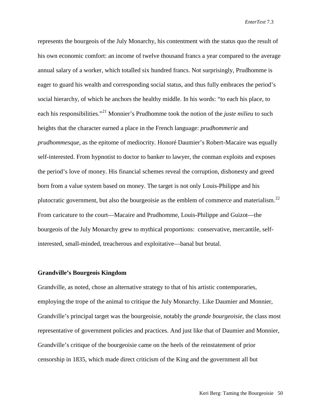represents the bourgeois of the July Monarchy, his contentment with the status quo the result of his own economic comfort: an income of twelve thousand francs a year compared to the average annual salary of a worker, which totalled six hundred francs. Not surprisingly, Prudhomme is eager to guard his wealth and corresponding social status, and thus fully embraces the period's social hierarchy, of which he anchors the healthy middle. In his words: "to each his place, to each his responsibilities."[21](#page-26-19) Monnier's Prudhomme took the notion of the *juste milieu* to such heights that the character earned a place in the French language: *prudhommerie* and *prudhommesque*, as the epitome of mediocrity. Honoré Daumier's Robert-Macaire was equally self-interested. From hypnotist to doctor to banker to lawyer, the conman exploits and exposes the period's love of money. His financial schemes reveal the corruption, dishonesty and greed born from a value system based on money. The target is not only Louis-Philippe and his plutocratic government, but also the bourgeoisie as the emblem of commerce and materialism.<sup>[22](#page-26-20)</sup> From caricature to the court—Macaire and Prudhomme, Louis-Philippe and Guizot—the bourgeois of the July Monarchy grew to mythical proportions: conservative, mercantile, selfinterested, small-minded, treacherous and exploitative—banal but brutal.

### **Grandville's Bourgeois Kingdom**

Grandville, as noted, chose an alternative strategy to that of his artistic contemporaries, employing the trope of the animal to critique the July Monarchy. Like Daumier and Monnier, Grandville's principal target was the bourgeoisie, notably the *grande bourgeoisie*, the class most representative of government policies and practices. And just like that of Daumier and Monnier, Grandville's critique of the bourgeoisie came on the heels of the reinstatement of prior censorship in 1835, which made direct criticism of the King and the government all but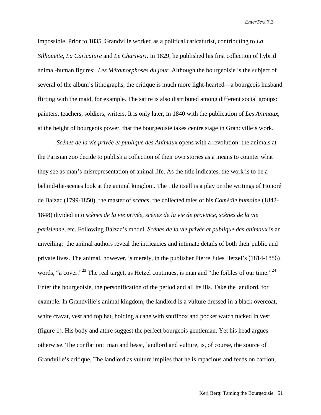impossible. Prior to 1835, Grandville worked as a political caricaturist, contributing to *La Silhouette*, *La Caricature* and *Le Charivari*. In 1829, he published his first collection of hybrid animal-human figures: *Les Métamorphoses du jour*. Although the bourgeoisie is the subject of several of the album's lithographs, the critique is much more light-hearted—a bourgeois husband flirting with the maid, for example. The satire is also distributed among different social groups: painters, teachers, soldiers, writers. It is only later, in 1840 with the publication of *Les Animaux*, at the height of bourgeois power, that the bourgeoisie takes centre stage in Grandville's work.

*Scènes de la vie privée et publique des Animaux* opens with a revolution: the animals at the Parisian zoo decide to publish a collection of their own stories as a means to counter what they see as man's misrepresentation of animal life. As the title indicates, the work is to be a behind-the-scenes look at the animal kingdom. The title itself is a play on the writings of Honoré de Balzac (1799-1850), the master of *scènes*, the collected tales of his *Comédie humaine* (1842- 1848) divided into *scènes de la vie privée, scènes de la vie de province, scènes de la vie parisienne,* etc. Following Balzac's model, *Scènes de la vie privée et publique des animaux* is an unveiling: the animal authors reveal the intricacies and intimate details of both their public and private lives. The animal, however, is merely, in the publisher Pierre Jules Hetzel's (1814-1886) words, "a cover."<sup>[23](#page-26-21)</sup> The real target, as Hetzel continues, is man and "the foibles of our time."<sup>[24](#page-26-22)</sup> Enter the bourgeoisie, the personification of the period and all its ills. Take the landlord, for example. In Grandville's animal kingdom, the landlord is a vulture dressed in a black overcoat, white cravat, vest and top hat, holding a cane with snuffbox and pocket watch tucked in vest (figure 1). His body and attire suggest the perfect bourgeois gentleman. Yet his head argues otherwise. The conflation: man and beast, landlord and vulture, is, of course, the source of Grandville's critique. The landlord as vulture implies that he is rapacious and feeds on carrion,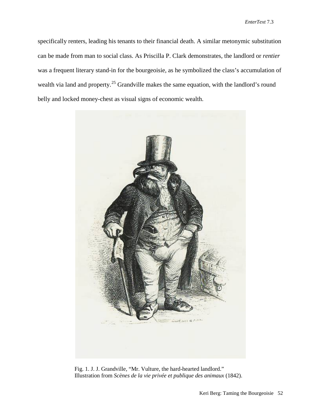specifically renters, leading his tenants to their financial death. A similar metonymic substitution can be made from man to social class. As Priscilla P. Clark demonstrates, the landlord or *rentier* was a frequent literary stand-in for the bourgeoisie, as he symbolized the class's accumulation of wealth via land and property.<sup>[25](#page-26-23)</sup> Grandville makes the same equation, with the landlord's round belly and locked money-chest as visual signs of economic wealth.



Fig. 1. J. J. Grandville, "Mr. Vulture, the hard-hearted landlord." Illustration from *Scènes de la vie privée et publique des animaux* (1842).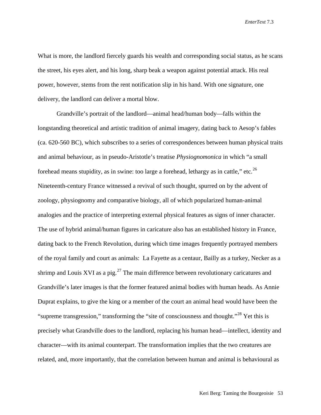What is more, the landlord fiercely guards his wealth and corresponding social status, as he scans the street, his eyes alert, and his long, sharp beak a weapon against potential attack. His real power, however, stems from the rent notification slip in his hand. With one signature, one delivery, the landlord can deliver a mortal blow.

Grandville's portrait of the landlord—animal head/human body—falls within the longstanding theoretical and artistic tradition of animal imagery, dating back to Aesop's fables (ca. 620-560 BC), which subscribes to a series of correspondences between human physical traits and animal behaviour, as in pseudo-Aristotle's treatise *Physiognomonica* in which "a small forehead means stupidity, as in swine: too large a forehead, lethargy as in cattle," etc.<sup>[26](#page-26-24)</sup> Nineteenth-century France witnessed a revival of such thought, spurred on by the advent of zoology, physiognomy and comparative biology, all of which popularized human-animal analogies and the practice of interpreting external physical features as signs of inner character. The use of hybrid animal/human figures in caricature also has an established history in France, dating back to the French Revolution, during which time images frequently portrayed members of the royal family and court as animals: La Fayette as a centaur, Bailly as a turkey, Necker as a shrimp and Louis XVI as a pig.<sup>[27](#page-26-25)</sup> The main difference between revolutionary caricatures and Grandville's later images is that the former featured animal bodies with human heads. As Annie Duprat explains, to give the king or a member of the court an animal head would have been the "supreme transgression," transforming the "site of consciousness and thought."<sup>[28](#page-26-26)</sup> Yet this is precisely what Grandville does to the landlord, replacing his human head—intellect, identity and character—with its animal counterpart. The transformation implies that the two creatures are related, and, more importantly, that the correlation between human and animal is behavioural as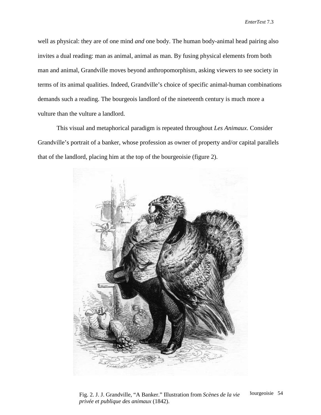well as physical: they are of one mind *and* one body. The human body-animal head pairing also invites a dual reading: man as animal, animal as man. By fusing physical elements from both man and animal, Grandville moves beyond anthropomorphism, asking viewers to see society in terms of its animal qualities. Indeed, Grandville's choice of specific animal-human combinations demands such a reading. The bourgeois landlord of the nineteenth century is much more a vulture than the vulture a landlord.

This visual and metaphorical paradigm is repeated throughout *Les Animaux*. Consider Grandville's portrait of a banker, whose profession as owner of property and/or capital parallels that of the landlord, placing him at the top of the bourgeoisie (figure 2).



Fig. 2. J. J. Grandville, "A Banker." Illustration from *Scènes de la vie* <sup>3 ourgeoisie 54</sup> *privée et publique des animaux* (1842).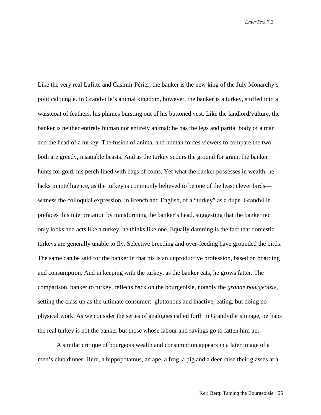Like the very real Lafitte and Casimir Périer, the banker is the new king of the July Monarchy's political jungle. In Grandville's animal kingdom, however, the banker is a turkey, stuffed into a waistcoat of feathers, his plumes bursting out of his buttoned vest. Like the landlord/vulture, the banker is neither entirely human nor entirely animal: he has the legs and partial body of a man and the head of a turkey. The fusion of animal and human forces viewers to compare the two: both are greedy, insatiable beasts. And as the turkey scours the ground for grain, the banker hunts for gold, his perch lined with bags of coins. Yet what the banker possesses in wealth, he lacks in intelligence, as the turkey is commonly believed to be one of the least clever birds witness the colloquial expression, in French and English, of a "turkey" as a dupe. Grandville prefaces this interpretation by transforming the banker's head, suggesting that the banker not only looks and acts like a turkey, he thinks like one. Equally damning is the fact that domestic turkeys are generally unable to fly. Selective breeding and over-feeding have grounded the birds. The same can be said for the banker in that his is an unproductive profession, based on hoarding and consumption. And in keeping with the turkey, as the banker eats, he grows fatter. The comparison, banker to turkey, reflects back on the bourgeoisie, notably the *grande bourgeoisie*, setting the class up as the ultimate consumer: gluttonous and inactive, eating, but doing no physical work. As we consider the series of analogies called forth in Grandville's image, perhaps the real turkey is not the banker but those whose labour and savings go to fatten him up.

A similar critique of bourgeois wealth and consumption appears in a later image of a men's club dinner. Here, a hippopotamus, an ape, a frog, a pig and a deer raise their glasses at a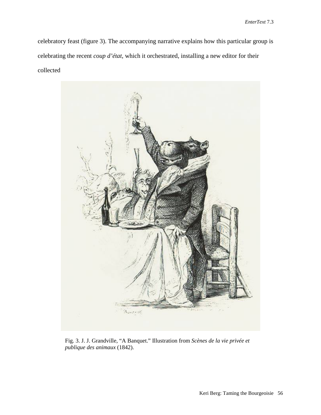celebratory feast (figure 3). The accompanying narrative explains how this particular group is celebrating the recent *coup d'état*, which it orchestrated, installing a new editor for their collected



Fig. 3. J. J. Grandville, "A Banquet." Illustration from *Scènes de la vie privée et publique des animaux* (1842).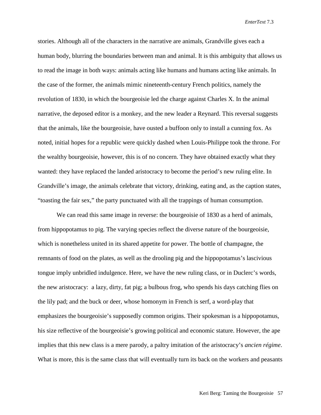stories. Although all of the characters in the narrative are animals, Grandville gives each a human body, blurring the boundaries between man and animal. It is this ambiguity that allows us to read the image in both ways: animals acting like humans and humans acting like animals. In the case of the former, the animals mimic nineteenth-century French politics, namely the revolution of 1830, in which the bourgeoisie led the charge against Charles X. In the animal narrative, the deposed editor is a monkey, and the new leader a Reynard. This reversal suggests that the animals, like the bourgeoisie, have ousted a buffoon only to install a cunning fox. As noted, initial hopes for a republic were quickly dashed when Louis-Philippe took the throne. For the wealthy bourgeoisie, however, this is of no concern. They have obtained exactly what they wanted: they have replaced the landed aristocracy to become the period's new ruling elite. In Grandville's image, the animals celebrate that victory, drinking, eating and, as the caption states, "toasting the fair sex," the party punctuated with all the trappings of human consumption.

We can read this same image in reverse: the bourgeoisie of 1830 as a herd of animals, from hippopotamus to pig. The varying species reflect the diverse nature of the bourgeoisie, which is nonetheless united in its shared appetite for power. The bottle of champagne, the remnants of food on the plates, as well as the drooling pig and the hippopotamus's lascivious tongue imply unbridled indulgence. Here, we have the new ruling class, or in Duclerc's words, the new aristocracy: a lazy, dirty, fat pig; a bulbous frog, who spends his days catching flies on the lily pad; and the buck or deer, whose homonym in French is serf, a word-play that emphasizes the bourgeoisie's supposedly common origins. Their spokesman is a hippopotamus, his size reflective of the bourgeoisie's growing political and economic stature. However, the ape implies that this new class is a mere parody, a paltry imitation of the aristocracy's *ancien régime*. What is more, this is the same class that will eventually turn its back on the workers and peasants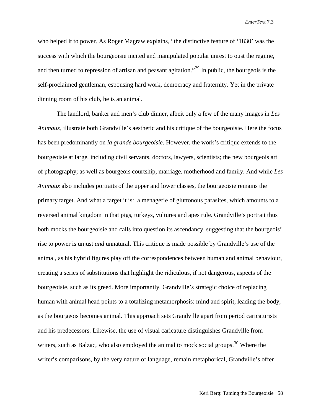who helped it to power. As Roger Magraw explains, "the distinctive feature of '1830' was the success with which the bourgeoisie incited and manipulated popular unrest to oust the regime, and then turned to repression of artisan and peasant agitation.<sup>[29](#page-26-27)</sup> In public, the bourgeois is the self-proclaimed gentleman, espousing hard work, democracy and fraternity. Yet in the private dinning room of his club, he is an animal.

The landlord, banker and men's club dinner, albeit only a few of the many images in *Les Animaux*, illustrate both Grandville's aesthetic and his critique of the bourgeoisie. Here the focus has been predominantly on *la grande bourgeoisie*. However, the work's critique extends to the bourgeoisie at large, including civil servants, doctors, lawyers, scientists; the new bourgeois art of photography; as well as bourgeois courtship, marriage, motherhood and family. And while *Les Animaux* also includes portraits of the upper and lower classes, the bourgeoisie remains the primary target. And what a target it is: a menagerie of gluttonous parasites, which amounts to a reversed animal kingdom in that pigs, turkeys, vultures and apes rule. Grandville's portrait thus both mocks the bourgeoisie and calls into question its ascendancy, suggesting that the bourgeois' rise to power is unjust *and* unnatural. This critique is made possible by Grandville's use of the animal, as his hybrid figures play off the correspondences between human and animal behaviour, creating a series of substitutions that highlight the ridiculous, if not dangerous, aspects of the bourgeoisie, such as its greed. More importantly, Grandville's strategic choice of replacing human with animal head points to a totalizing metamorphosis: mind and spirit, leading the body, as the bourgeois becomes animal. This approach sets Grandville apart from period caricaturists and his predecessors. Likewise, the use of visual caricature distinguishes Grandville from writers, such as Balzac, who also employed the animal to mock social groups.<sup>[30](#page-26-28)</sup> Where the writer's comparisons, by the very nature of language, remain metaphorical, Grandville's offer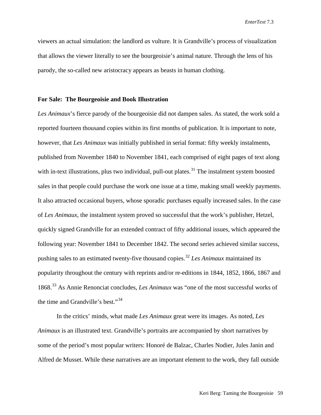viewers an actual simulation: the landlord *as* vulture. It is Grandville's process of visualization that allows the viewer literally to see the bourgeoisie's animal nature. Through the lens of his parody, the so-called new aristocracy appears as beasts in human clothing.

#### **For Sale: The Bourgeoisie and Book Illustration**

*Les Animaux*'s fierce parody of the bourgeoisie did not dampen sales. As stated, the work sold a reported fourteen thousand copies within its first months of publication. It is important to note, however, that *Les Animaux* was initially published in serial format: fifty weekly instalments, published from November 1840 to November 1841, each comprised of eight pages of text along with in-text illustrations, plus two individual, pull-out plates.<sup>[31](#page-26-29)</sup> The instalment system boosted sales in that people could purchase the work one issue at a time, making small weekly payments. It also attracted occasional buyers, whose sporadic purchases equally increased sales. In the case of *Les Animaux*, the instalment system proved so successful that the work's publisher, Hetzel, quickly signed Grandville for an extended contract of fifty additional issues, which appeared the following year: November 1841 to December 1842. The second series achieved similar success, pushing sales to an estimated twenty-five thousand copies. [32](#page-26-30) *Les Animaux* maintained its popularity throughout the century with reprints and/or re-editions in 1844, 1852, 1866, 1867 and 1868. [33](#page-26-31) As Annie Renonciat concludes, *Les Animaux* was "one of the most successful works of the time and Grandville's best."[34](#page-26-32)

In the critics' minds, what made *Les Animaux* great were its images. As noted, *Les Animaux* is an illustrated text. Grandville's portraits are accompanied by short narratives by some of the period's most popular writers: Honoré de Balzac, Charles Nodier, Jules Janin and Alfred de Musset. While these narratives are an important element to the work, they fall outside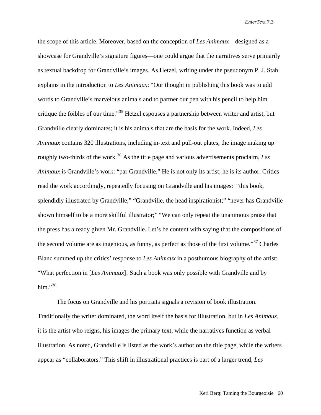the scope of this article. Moreover, based on the conception of *Les Animaux*—designed as a showcase for Grandville's signature figures—one could argue that the narratives serve primarily as textual backdrop for Grandville's images. As Hetzel, writing under the pseudonym P. J. Stahl explains in the introduction to *Les Animaux*: "Our thought in publishing this book was to add words to Grandville's marvelous animals and to partner our pen with his pencil to help him critique the foibles of our time."[35](#page-26-33) Hetzel espouses a partnership between writer and artist, but Grandville clearly dominates; it is his animals that are the basis for the work. Indeed, *Les Animaux* contains 320 illustrations, including in-text and pull-out plates, the image making up roughly two-thirds of the work. [36](#page-26-34) As the title page and various advertisements proclaim, *Les Animaux* is Grandville's work: "par Grandville." He is not only its artist; he is its author. Critics read the work accordingly, repeatedly focusing on Grandville and his images: "this book, splendidly illustrated by Grandville;" "Grandville, the head inspirationist;" "never has Grandville shown himself to be a more skillful illustrator;" "We can only repeat the unanimous praise that the press has already given Mr. Grandville. Let's be content with saying that the compositions of the second volume are as ingenious, as funny, as perfect as those of the first volume."<sup>[37](#page-26-35)</sup> Charles Blanc summed up the critics' response to *Les Animaux* in a posthumous biography of the artist: "What perfection in [*Les Animaux*]! Such a book was only possible with Grandville and by him $.^{\cdot,38}$  $.^{\cdot,38}$  $.^{\cdot,38}$ 

The focus on Grandville and his portraits signals a revision of book illustration. Traditionally the writer dominated, the word itself the basis for illustration, but in *Les Animaux*, it is the artist who reigns, his images the primary text, while the narratives function as verbal illustration. As noted, Grandville is listed as the work's author on the title page, while the writers appear as "collaborators." This shift in illustrational practices is part of a larger trend, *Les*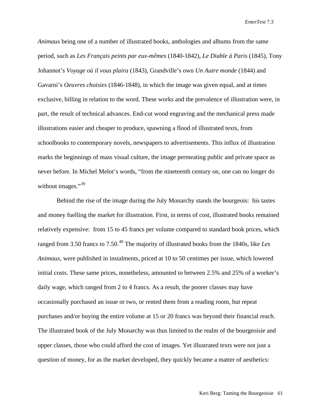*Animaux* being one of a number of illustrated books, anthologies and albums from the same period, such as *Les Français peints par eux-mêmes* (1840-1842), *Le Diable à Paris* (1845), Tony Johannot's *Voyage où il vous plaira* (1843), Grandville's own *Un Autre monde* (1844) and Gavarni's *Oeuvres choisies* (1846-1848), in which the image was given equal, and at times exclusive, billing in relation to the word. These works and the prevalence of illustration were, in part, the result of technical advances. End-cut wood engraving and the mechanical press made illustrations easier and cheaper to produce, spawning a flood of illustrated texts, from schoolbooks to contemporary novels, newspapers to advertisements. This influx of illustration marks the beginnings of mass visual culture, the image permeating public and private space as never before. In Michel Melot's words, "from the nineteenth century on, one can no longer do without images."<sup>[39](#page-26-37)</sup>

Behind the rise of the image during the July Monarchy stands the bourgeois: his tastes and money fuelling the market for illustration. First, in terms of cost, illustrated books remained relatively expensive: from 15 to 45 francs per volume compared to standard book prices, which ranged from 3.50 francs to 7.50. [40](#page-26-38) The majority of illustrated books from the 1840s, like *Les Animaux*, were published in instalments, priced at 10 to 50 centimes per issue, which lowered initial costs. These same prices, nonetheless, amounted to between 2.5% and 25% of a worker's daily wage, which ranged from 2 to 4 francs. As a result, the poorer classes may have occasionally purchased an issue or two, or rented them from a reading room, but repeat purchases and/or buying the entire volume at 15 or 20 francs was beyond their financial reach. The illustrated book of the July Monarchy was thus limited to the realm of the bourgeoisie and upper classes, those who could afford the cost of images. Yet illustrated texts were not just a question of money, for as the market developed, they quickly became a matter of aesthetics: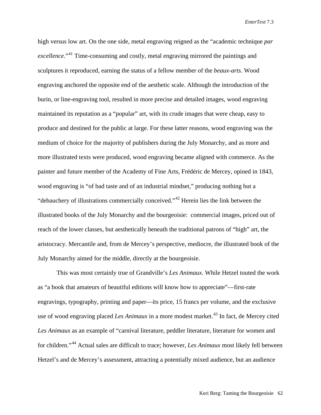high versus low art. On the one side, metal engraving reigned as the "academic technique *par excellence*."[41](#page-26-39) Time-consuming and costly, metal engraving mirrored the paintings and sculptures it reproduced, earning the status of a fellow member of the *beaux-arts*. Wood engraving anchored the opposite end of the aesthetic scale. Although the introduction of the burin, or line-engraving tool, resulted in more precise and detailed images, wood engraving maintained its reputation as a "popular" art, with its crude images that were cheap, easy to produce and destined for the public at large. For these latter reasons, wood engraving was the medium of choice for the majority of publishers during the July Monarchy, and as more and more illustrated texts were produced, wood engraving became aligned with commerce. As the painter and future member of the Academy of Fine Arts, Frédéric de Mercey, opined in 1843, wood engraving is "of bad taste and of an industrial mindset," producing nothing but a "debauchery of illustrations commercially conceived."[42](#page-26-40) Herein lies the link between the illustrated books of the July Monarchy and the bourgeoisie: commercial images, priced out of reach of the lower classes, but aesthetically beneath the traditional patrons of "high" art, the aristocracy. Mercantile and, from de Mercey's perspective, mediocre, the illustrated book of the July Monarchy aimed for the middle, directly at the bourgeoisie.

This was most certainly true of Grandville's *Les Animaux*. While Hetzel touted the work as "a book that amateurs of beautiful editions will know how to appreciate"—first-rate engravings, typography, printing and paper—its price, 15 francs per volume, and the exclusive use of wood engraving placed *Les Animaux* in a more modest market. [43](#page-26-5) In fact, de Mercey cited *Les Animaux* as an example of "carnival literature, peddler literature, literature for women and for children."[44](#page-26-41) Actual sales are difficult to trace; however, *Les Animaux* most likely fell between Hetzel's and de Mercey's assessment, attracting a potentially mixed audience, but an audience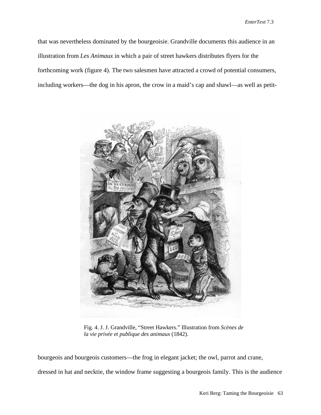that was nevertheless dominated by the bourgeoisie. Grandville documents this audience in an illustration from *Les Animaux* in which a pair of street hawkers distributes flyers for the forthcoming work (figure 4). The two salesmen have attracted a crowd of potential consumers, including workers—the dog in his apron, the crow in a maid's cap and shawl—as well as petit-



Fig. 4. J. J. Grandville, "Street Hawkers." Illustration from *Scènes de la vie privée et publique des animaux* (1842).

bourgeois and bourgeois customers—the frog in elegant jacket; the owl, parrot and crane,

dressed in hat and necktie, the window frame suggesting a bourgeois family. This is the audience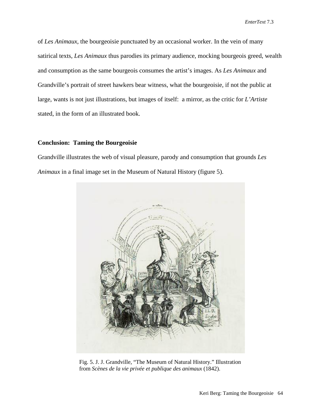of *Les Animaux*, the bourgeoisie punctuated by an occasional worker. In the vein of many satirical texts, *Les Animaux* thus parodies its primary audience, mocking bourgeois greed, wealth and consumption as the same bourgeois consumes the artist's images. As *Les Animaux* and Grandville's portrait of street hawkers bear witness, what the bourgeoisie, if not the public at large, wants is not just illustrations, but images of itself: a mirror, as the critic for *L'Artiste* stated, in the form of an illustrated book.

### **Conclusion: Taming the Bourgeoisie**

Grandville illustrates the web of visual pleasure, parody and consumption that grounds *Les Animaux* in a final image set in the Museum of Natural History (figure 5).



Fig. 5. J. J. Grandville, "The Museum of Natural History." Illustration from *Scènes de la vie privée et publique des animaux* (1842).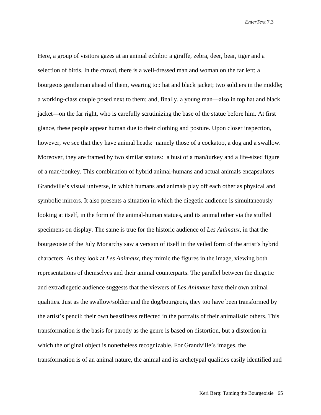Here, a group of visitors gazes at an animal exhibit: a giraffe, zebra, deer, bear, tiger and a selection of birds. In the crowd, there is a well-dressed man and woman on the far left; a bourgeois gentleman ahead of them, wearing top hat and black jacket; two soldiers in the middle; a working-class couple posed next to them; and, finally, a young man—also in top hat and black jacket—on the far right, who is carefully scrutinizing the base of the statue before him. At first glance, these people appear human due to their clothing and posture. Upon closer inspection, however, we see that they have animal heads: namely those of a cockatoo, a dog and a swallow. Moreover, they are framed by two similar statues: a bust of a man/turkey and a life-sized figure of a man/donkey. This combination of hybrid animal-humans and actual animals encapsulates Grandville's visual universe, in which humans and animals play off each other as physical and symbolic mirrors. It also presents a situation in which the diegetic audience is simultaneously looking at itself, in the form of the animal-human statues, and its animal other via the stuffed specimens on display. The same is true for the historic audience of *Les Animaux*, in that the bourgeoisie of the July Monarchy saw a version of itself in the veiled form of the artist's hybrid characters. As they look at *Les Animaux*, they mimic the figures in the image, viewing both representations of themselves and their animal counterparts. The parallel between the diegetic and extradiegetic audience suggests that the viewers of *Les Animaux* have their own animal qualities. Just as the swallow/soldier and the dog/bourgeois, they too have been transformed by the artist's pencil; their own beastliness reflected in the portraits of their animalistic others. This transformation is the basis for parody as the genre is based on distortion, but a distortion in which the original object is nonetheless recognizable. For Grandville's images, the transformation is of an animal nature, the animal and its archetypal qualities easily identified and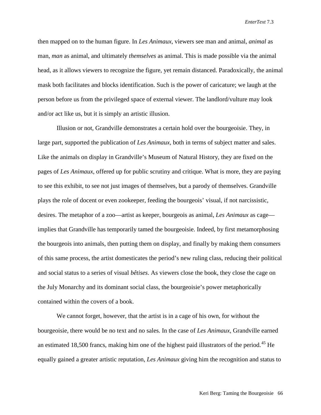then mapped on to the human figure. In *Les Animaux*, viewers see man and animal, *animal* as man, *man* as animal, and ultimately *themselves* as animal. This is made possible via the animal head, as it allows viewers to recognize the figure, yet remain distanced. Paradoxically, the animal mask both facilitates and blocks identification. Such is the power of caricature; we laugh at the person before us from the privileged space of external viewer. The landlord/vulture may look and/or act like us, but it is simply an artistic illusion.

Illusion or not, Grandville demonstrates a certain hold over the bourgeoisie. They, in large part, supported the publication of *Les Animaux*, both in terms of subject matter and sales. Like the animals on display in Grandville's Museum of Natural History, they are fixed on the pages of *Les Animaux*, offered up for public scrutiny and critique. What is more, they are paying to see this exhibit, to see not just images of themselves, but a parody of themselves. Grandville plays the role of docent or even zookeeper, feeding the bourgeois' visual, if not narcissistic, desires. The metaphor of a zoo—artist as keeper, bourgeois as animal, *Les Animaux* as cage implies that Grandville has temporarily tamed the bourgeoisie. Indeed, by first metamorphosing the bourgeois into animals, then putting them on display, and finally by making them consumers of this same process, the artist domesticates the period's new ruling class, reducing their political and social status to a series of visual *bêtises*. As viewers close the book, they close the cage on the July Monarchy and its dominant social class, the bourgeoisie's power metaphorically contained within the covers of a book.

We cannot forget, however, that the artist is in a cage of his own, for without the bourgeoisie, there would be no text and no sales. In the case of *Les Animaux*, Grandville earned an estimated 18,500 francs, making him one of the highest paid illustrators of the period.<sup>[45](#page-26-42)</sup> He equally gained a greater artistic reputation, *Les Animaux* giving him the recognition and status to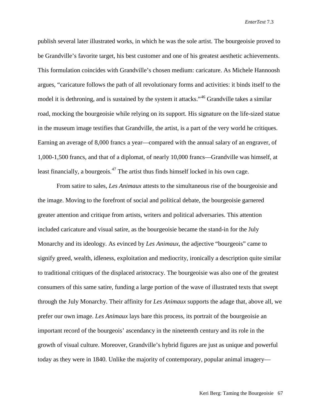publish several later illustrated works, in which he was the sole artist. The bourgeoisie proved to be Grandville's favorite target, his best customer and one of his greatest aesthetic achievements. This formulation coincides with Grandville's chosen medium: caricature. As Michele Hannoosh argues, "caricature follows the path of all revolutionary forms and activities: it binds itself to the model it is dethroning, and is sustained by the system it attacks."<sup>[46](#page-26-6)</sup> Grandville takes a similar road, mocking the bourgeoisie while relying on its support. His signature on the life-sized statue in the museum image testifies that Grandville, the artist, is a part of the very world he critiques. Earning an average of 8,000 francs a year—compared with the annual salary of an engraver, of 1,000-1,500 francs, and that of a diplomat, of nearly 10,000 francs—Grandville was himself, at least financially, a bourgeois.<sup>[47](#page-26-8)</sup> The artist thus finds himself locked in his own cage.

From satire to sales, *Les Animaux* attests to the simultaneous rise of the bourgeoisie and the image. Moving to the forefront of social and political debate, the bourgeoisie garnered greater attention and critique from artists, writers and political adversaries. This attention included caricature and visual satire, as the bourgeoisie became the stand-in for the July Monarchy and its ideology. As evinced by *Les Animaux*, the adjective "bourgeois" came to signify greed, wealth, idleness, exploitation and mediocrity, ironically a description quite similar to traditional critiques of the displaced aristocracy. The bourgeoisie was also one of the greatest consumers of this same satire, funding a large portion of the wave of illustrated texts that swept through the July Monarchy. Their affinity for *Les Animaux* supports the adage that, above all, we prefer our own image. *Les Animaux* lays bare this process, its portrait of the bourgeoisie an important record of the bourgeois' ascendancy in the nineteenth century and its role in the growth of visual culture. Moreover, Grandville's hybrid figures are just as unique and powerful today as they were in 1840. Unlike the majority of contemporary, popular animal imagery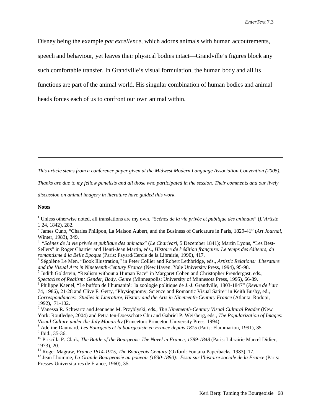Disney being the example *par excellence*, which adorns animals with human accoutrements, speech and behaviour, yet leaves their physical bodies intact—Grandville's figures block any such comfortable transfer. In Grandville's visual formulation, the human body and all its functions are part of the animal world. His singular combination of human bodies and animal heads forces each of us to confront our own animal within.

<span id="page-25-0"></span>*This article stems from a conference paper given at the Midwest Modern Language Association Convention (2005).* 

*Thanks are due to my fellow panelists and all those who participated in the session. Their comments and our lively* 

*discussion on animal imagery in literature have guided this work.* 

#### **Notes**

 $\overline{a}$ 

 $\overline{a}$ 

<sup>1</sup> Unless otherwise noted, all translations are my own. "*Scènes de la vie privée et publique des animaux*" (*L'Artiste* 1.24, 1842), 282. <sup>2</sup> James Cuno, "Charles Philipon, La Maison Aubert, and the Business of Caricature in Paris, 1829-41" (*Art Journal,* 

Winter, 1983), 349.<br><sup>3</sup> "*Scènes de la vie privée et publique des animaux*" (*Le Charivari*, 5 December 1841); Martin Lyons, "Les Best-

Sellers" in Roger Chartier and Henri-Jean Martin, eds., *Histoire de l'édition française: Le temps des éditeurs, du romantisme à la Belle Epoque* (Paris: Fayard/Cercle de la Librairie, 1990), 417. <sup>4</sup> Ségolène Le Men, "Book Illustration," in Peter Collier and Robert Lethbridge, eds., *Artistic Relations: Literature* 

*and the Visual Arts in Nineteenth-Century France* (New Haven: Yale University Press, 1994), 95-98.<br><sup>5</sup> Judith Goldstein, "Realism without a Human Face" in Margaret Cohen and Christopher Prendergast, eds.,

Spectacles of Realism: Gender, Body, Genre (Minneapolis: University of Minnesota Press, 1995), 66-89.<br><sup>6</sup> Philippe Kaenel, "Le buffon de l'humanité: la zoologie politique de J.-J. Grandville, 1803-1847" (Revue de l'art

74, 1986), 21-28 and Clive F. Getty, "Physiognomy, Science and Romantic Visual Satire" in Keith Busby, ed., *Correspondances: Studies in Literature, History and the Arts in Nineteenth-Century France* (Atlanta: Rodopi,

<sup>7</sup> Vanessa R. Schwartz and Jeannene M. Przyblyski, eds., *The Nineteenth-Century Visual Cultural Reader* (New York: Routledge, 2004) and Petra ten-Doesschate Chu and Gabriel P. Weisberg, eds., *The Popularization of Images:* 

<sup>8</sup> Adeline Daumard, *Les Bourgeois et la bourgeoisie en France depuis 1815* (Paris: Flammarion, 1991), 35.<br><sup>9</sup> Ibid., 35-36.<br><sup>10</sup> Priscilla P. Clark, *The Battle of the Bourgeois: The Novel in France, 1789-1848* (Paris:

1973), 20.<br><sup>11</sup> Roger Magraw, *France 1814-1915, The Bourgeois Century* (Oxford: Fontana Paperbacks, 1983), 17.<br><sup>12</sup> Jean Lhomme, *La Grande Bourgeoisie au pouvoir (1830-1880): Essai sur l'histoire sociale de la France (Pa* 

Presses Universitaires de France, 1960), 35.